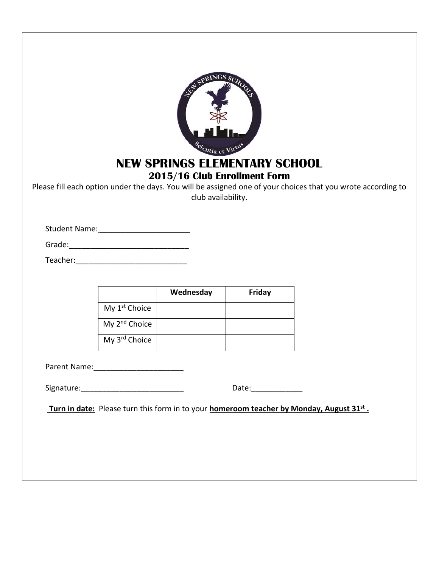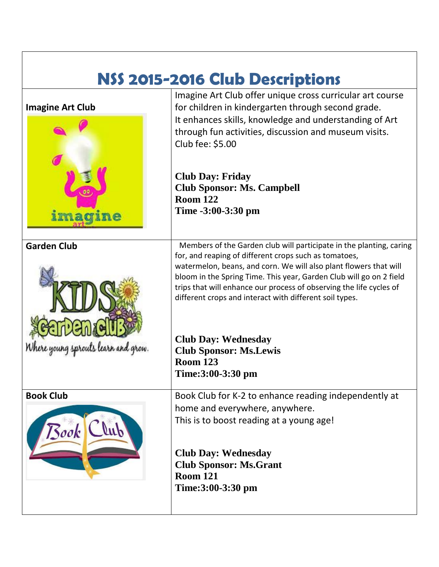| NSS 2015-2016 Club Descriptions |                                                                                                                                            |  |
|---------------------------------|--------------------------------------------------------------------------------------------------------------------------------------------|--|
|                                 | Imagine Art Club offer unique cross curricular art course                                                                                  |  |
| <b>Imagine Art Club</b>         | for children in kindergarten through second grade.                                                                                         |  |
|                                 | It enhances skills, knowledge and understanding of Art                                                                                     |  |
|                                 | through fun activities, discussion and museum visits.                                                                                      |  |
|                                 | Club fee: \$5.00                                                                                                                           |  |
|                                 |                                                                                                                                            |  |
|                                 | <b>Club Day: Friday</b>                                                                                                                    |  |
|                                 | <b>Club Sponsor: Ms. Campbell</b>                                                                                                          |  |
|                                 | <b>Room 122</b>                                                                                                                            |  |
| imagine                         | Time -3:00-3:30 pm                                                                                                                         |  |
|                                 |                                                                                                                                            |  |
| <b>Garden Club</b>              | Members of the Garden club will participate in the planting, caring                                                                        |  |
|                                 | for, and reaping of different crops such as tomatoes,                                                                                      |  |
|                                 | watermelon, beans, and corn. We will also plant flowers that will                                                                          |  |
|                                 | bloom in the Spring Time. This year, Garden Club will go on 2 field<br>trips that will enhance our process of observing the life cycles of |  |
|                                 | different crops and interact with different soil types.                                                                                    |  |
|                                 |                                                                                                                                            |  |
|                                 |                                                                                                                                            |  |
|                                 | <b>Club Day: Wednesday</b>                                                                                                                 |  |
|                                 | <b>Club Sponsor: Ms.Lewis</b>                                                                                                              |  |
|                                 | <b>Room 123</b>                                                                                                                            |  |
|                                 | Time:3:00-3:30 pm                                                                                                                          |  |
| <b>Book Club</b>                | Book Club for K-2 to enhance reading independently at                                                                                      |  |
|                                 | home and everywhere, anywhere.                                                                                                             |  |
|                                 | This is to boost reading at a young age!                                                                                                   |  |
| Book Club                       |                                                                                                                                            |  |
|                                 | <b>Club Day: Wednesday</b>                                                                                                                 |  |
|                                 | <b>Club Sponsor: Ms.Grant</b>                                                                                                              |  |
|                                 | <b>Room 121</b>                                                                                                                            |  |
|                                 | Time:3:00-3:30 pm                                                                                                                          |  |
|                                 |                                                                                                                                            |  |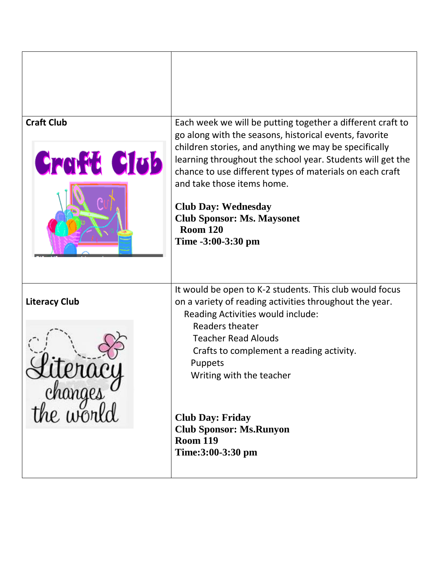| <b>Craft Club</b><br><b>Craft Club</b>     | Each week we will be putting together a different craft to<br>go along with the seasons, historical events, favorite<br>children stories, and anything we may be specifically<br>learning throughout the school year. Students will get the<br>chance to use different types of materials on each craft<br>and take those items home.<br><b>Club Day: Wednesday</b><br><b>Club Sponsor: Ms. Maysonet</b><br><b>Room 120</b><br>Time -3:00-3:30 pm |
|--------------------------------------------|---------------------------------------------------------------------------------------------------------------------------------------------------------------------------------------------------------------------------------------------------------------------------------------------------------------------------------------------------------------------------------------------------------------------------------------------------|
| <b>Literacy Club</b><br>changes<br>he worl | It would be open to K-2 students. This club would focus<br>on a variety of reading activities throughout the year.<br>Reading Activities would include:<br>Readers theater<br><b>Teacher Read Alouds</b><br>Crafts to complement a reading activity.<br>Puppets<br>Writing with the teacher<br><b>Club Day: Friday</b><br><b>Club Sponsor: Ms.Runyon</b><br><b>Room 119</b><br>Time:3:00-3:30 pm                                                  |